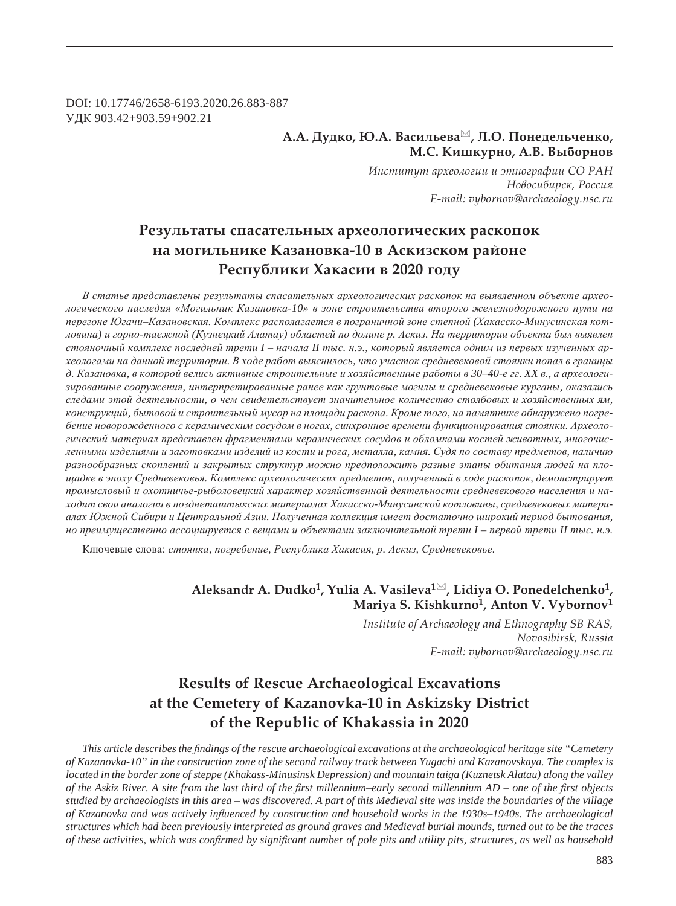DOI: 10.17746/2658-6193.2020.26.883-887 ɍȾɄ 903.42+903.59+902.21

### **Ǯ.Ǯ. DzȡȒȘȜ, Ȍ.Ǯ. ǰȎȟȖșȪȓȐȎ , ǹ.Ǽ. ǽȜțȓȒȓșȪȥȓțȘȜ, Ǻ.ǿ. ǸȖȦȘȡȞțȜ, Ǯ.ǰ. ǰȩȏȜȞțȜȐ**

*ǶțȟȠȖȠȡȠ ȎȞȣȓȜșȜȑȖȖ Ȗ ȫȠțȜȑȞȎȢȖȖ ǿǼ ǾǮǻ*  $H$ овосибирск, Россия *E-mail: vybornov@archaeology.nsc.ru*

## Результаты спасательных археологических раскопок **па могильнике Казановка-10 в Аскизском районе** Республики Хакасии в 2020 году

В статье представлены результаты спасательных археологических раскопок на выявленном объекте археологического наследия «Могильник Казановка-10» в зоне строительства второго железнодорожного пути на перегоне Югачи-Казановская. Комплекс располагается в пограничной зоне степной (Хакасско-Минусинская котловина) и горно-таежной (Кузнецкий Алатау) областей по долине р. Аскиз. На территории объекта был выявлен стояночный комплекс последней трети I - начала II тыс. н.э., который является одним из первых изученных археологами на данной территории. В ходе работ выяснилось, что участок средневековой стоянки попал в границы д. Казановка, в которой велись активные строительные и хозяйственные работы в 30-40-е гг. XX в., а археологи*ɡɢɪɨɜɚɧɧɵɟ ɫɨɨɪɭɠɟɧɢɹ, ɢɧɬɟɪɩɪɟɬɢɪɨɜɚɧɧɵɟ ɪɚɧɟɟ ɤɚɤ ɝɪɭɧɬɨɜɵɟ ɦɨɝɢɥɵ ɢ ɫɪɟɞɧɟɜɟɤɨɜɵɟ ɤɭɪɝɚɧɵ, ɨɤɚɡɚɥɢɫɶ* следами этой деятельности, о чем свидетельствует значительное количество столбовых и хозяйственных ям, конструкций, бытовой и строительный мусор на площади раскопа. Кроме того, на памятнике обнаружено погребение новорожденного с керамическим сосудом в ногах, синхронное времени функционирования стоянки. Археологический материал представлен фрагментами керамических сосудов и обломками костей животных, многочисленными изделиями и заготовками изделий из кости и рога, металла, камня. Судя по составу предметов, наличию разнообразных скоплений и закрытых структур можно предположить разные этапы обитания людей на пло*ɳɚɞɤɟ ɜ ɷɩɨɯɭ ɋɪɟɞɧɟɜɟɤɨɜɶɹ. Ʉɨɦɩɥɟɤɫ ɚɪɯɟɨɥɨɝɢɱɟɫɤɢɯ ɩɪɟɞɦɟɬɨɜ, ɩɨɥɭɱɟɧɧɵɣ ɜ ɯɨɞɟ ɪɚɫɤɨɩɨɤ, ɞɟɦɨɧɫɬɪɢɪɭɟɬ* промысловый и охотничье-рыболовецкий характер хозяйственной деятельности средневекового населения и на $x$ одит свои аналогии в позднеташтыкских материалах Хакасско-Минусинской котловины, средневековых матери*ɚɥɚɯ ɘɠɧɨɣ ɋɢɛɢɪɢ ɢ ɐɟɧɬɪɚɥɶɧɨɣ Ⱥɡɢɢ. ɉɨɥɭɱɟɧɧɚɹ ɤɨɥɥɟɤɰɢɹ ɢɦɟɟɬ ɞɨɫɬɚɬɨɱɧɨ ɲɢɪɨɤɢɣ ɩɟɪɢɨɞ ɛɵɬɨɜɚɧɢɹ,*  но преимущественно ассоциируется с вещами и объектами заключительной трети I - первой трети II тыс. н.э.

Ключевые слова: стоянка, погребение, Республика Хакасия, р. Аскиз, Средневековье.

## **Aleksandr Ǯ. Dudko1, Yulia A. Vasileva1 , Lidiya O. Ponedelchenko1, Mariya S. Kishkurno1, Anton V. Vybornov1**

*Institute of Archaeology and Ethnography SB RAS, Novosibirsk, Russia E-mail: vybornov@archaeology.nsc.ru*

# **Results of Rescue Archaeological Excavations at the Cemetery of Kazanovka-10 in Askizsky District of the Republic of Khakassia in 2020**

*This article describes the findings of the rescue archaeological excavations at the archaeological heritage site "Cemetery" of Kazanovka-10" in the construction zone of the second railway track between Yugachi and Kazanovskaya. The complex is located in the border zone of steppe (Khakass-Minusinsk Depression) and mountain taiga (Kuznetsk Alatau) along the valley of the Askiz River. A site from the last third of the first millennium–early second millennium AD – one of the first objects studied by archaeologists in this area – was discovered. A part of this Medieval site was inside the boundaries of the village of Kazanovka and was actively inÀ uenced by construction and household works in the 1930s–1940s. The archaeological structures which had been previously interpreted as ground graves and Medieval burial mounds, turned out to be the traces of these activities, which was confirmed by significant number of pole pits and utility pits, structures, as well as household*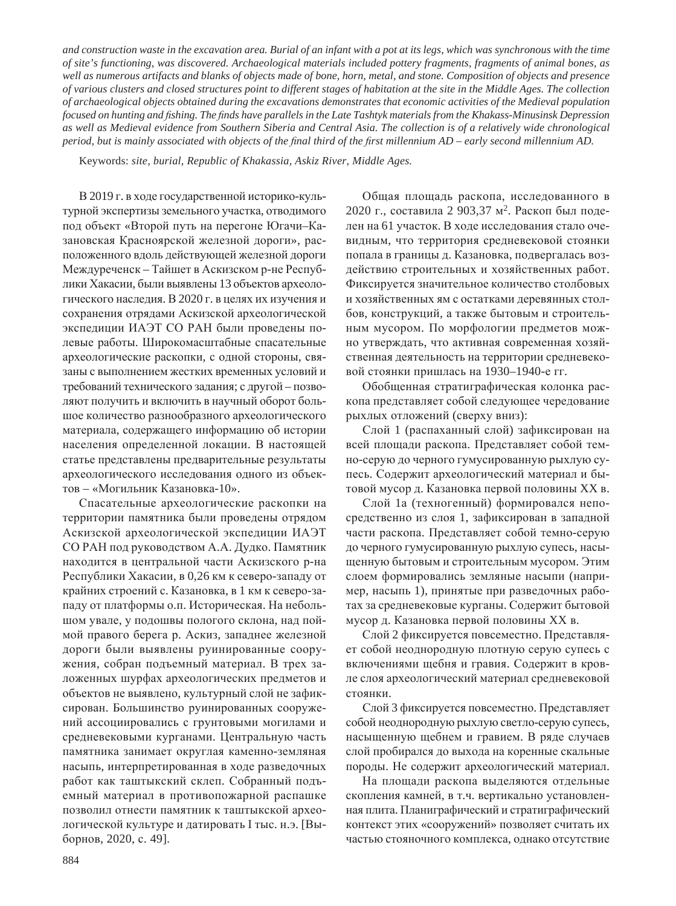*and construction waste in the excavation area. Burial of an infant with a pot at its legs, which was synchronous with the time of site's functioning, was discovered. Archaeological materials included pottery fragments, fragments of animal bones, as well as numerous artifacts and blanks of objects made of bone, horn, metal, and stone. Composition of objects and presence of various clusters and closed structures point to different stages of habitation at the site in the Middle Ages. The collection of archaeological objects obtained during the excavations demonstrates that economic activities of the Medieval population focused on hunting and ¿ shing. The ¿ nds have parallels in the Late Tashtyk materials from the Khakass-Minusinsk Depression as well as Medieval evidence from Southern Siberia and Central Asia. The collection is of a relatively wide chronological period, but is mainly associated with objects of the final third of the first millennium AD – early second millennium AD.* 

Keywords: *site, burial, Republic of Khakassia, Askiz River, Middle Ages.*

В 2019 г. в ходе государственной историко-культурной экспертизы земельного участка, отводимого под объект «Второй путь на перегоне Югачи-Казановская Красноярской железной дороги», расположенного вдоль действующей железной дороги Междуреченск – Тайшет в Аскизском р-не Республики Хакасии, были выявлены 13 объектов археологического наследия. В 2020 г. в целях их изучения и сохранения отрядами Аскизской археологической экспедиции ИАЭТ СО РАН были проведены полевые работы. Широкомасштабные спасательные археологические раскопки, с одной стороны, связаны с выполнением жестких временных условий и требований технического задания; с другой - позволяют получить и включить в научный оборот большое количество разнообразного археологического материала, содержащего информацию об истории населения определенной локации. В настоящей статье представлены предварительные результаты археологического исследования одного из объектов – «Могильник Казановка-10».

Спасательные археологические раскопки на территории памятника были проведены отрядом Аскизской археологической экспедиции ИАЭТ СО РАН под руководством А.А. Дудко. Памятник находится в центральной части Аскизского р-на Республики Хакасии, в 0,26 км к северо-западу от крайних строений с. Казановка, в 1 км к северо-западу от платформы о.п. Историческая. На небольшом увале, у подошвы пологого склона, над поймой правого берега р. Аскиз, западнее железной дороги были выявлены руинированные сооружения, собран подъемный материал. В трех заложенных шурфах археологических предметов и объектов не выявлено, культурный слой не зафиксирован. Большинство руинированных сооружений ассоциировались с грунтовыми могилами и средневековыми курганами. Центральную часть памятника занимает округлая каменно-земляная насыпь, интерпретированная в ходе разведочных работ как таштыкский склеп. Собранный подъемный материал в противопожарной распашке позволил отнести памятник к таштыкской археологической культуре и датировать I тыс. н.э. [Выборнов, 2020, с. 49].

Общая площадь раскопа, исследованного в 2020 г., составила 2 903,37 м<sup>2</sup>. Раскоп был поделен на 61 участок. В ходе исследования стало очевидным, что территория средневековой стоянки попала в границы д. Казановка, подвергалась воздействию строительных и хозяйственных работ. Фиксируется значительное количество столбовых и хозяйственных ям с остатками деревянных столбов, конструкций, а также бытовым и строительным мусором. По морфологии предметов можно утверждать, что активная современная хозяйственная деятельность на территории средневековой стоянки пришлась на 1930–1940-е гг.

Обобщенная стратиграфическая колонка раскопа представляет собой следующее чередование рыхлых отложений (сверху вниз):

Слой 1 (распаханный слой) зафиксирован на всей площади раскопа. Представляет собой темно-серую до черного гумусированную рыхлую супесь. Содержит археологический материал и бытовой мусор д. Казановка первой половины XX в.

Слой 1а (техногенный) формировался непосредственно из слоя 1, зафиксирован в западной части раскопа. Представляет собой темно-серую до черного гумусированную рыхлую супесь, насыщенную бытовым и строительным мусором. Этим слоем формировались земляные насыпи (например, насыпь 1), принятые при разведочных работах за средневековые курганы. Содержит бытовой мусор д. Казановка первой половины XX в.

Слой 2 фиксируется повсеместно. Представляет собой неоднородную плотную серую супесь с включениями щебня и гравия. Содержит в кровле слоя археологический материал средневековой стоянки.

Слой 3 фиксируется повсеместно. Представляет собой неоднородную рыхлую светло-серую супесь, насыщенную щебнем и гравием. В ряде случаев слой пробирался до выхода на коренные скальные породы. Не содержит археологический материал.

На площади раскопа выделяются отдельные скопления камней, в т.ч. вертикально установленная плита. Планиграфический и стратиграфический контекст этих «сооружений» позволяет считать их частью стояночного комплекса, однако отсутствие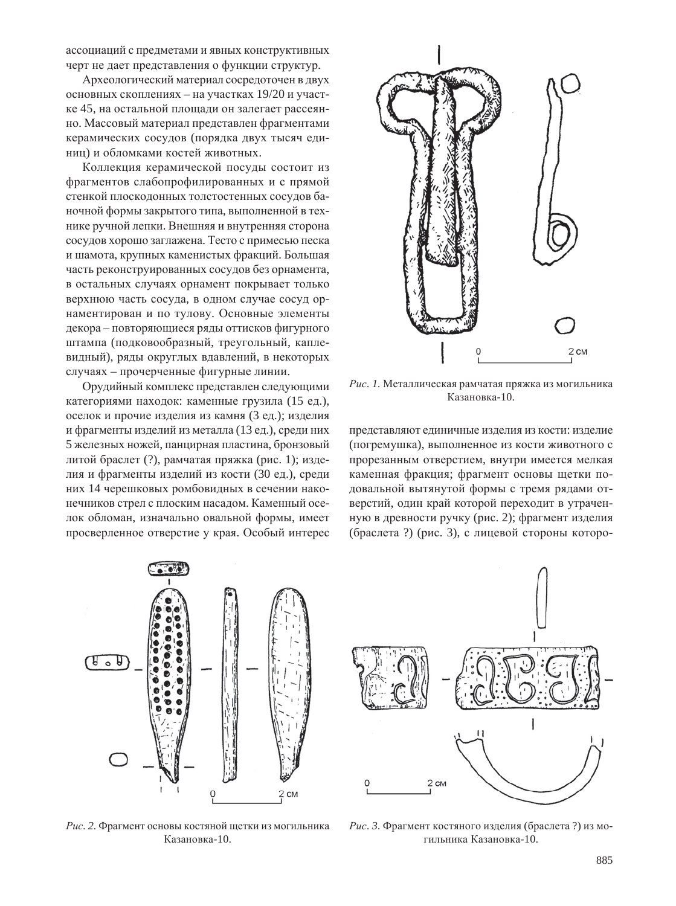ассоциаций с предметами и явных конструктивных черт не дает представления о функции структур.

Археологический материал сосредоточен в двух основных скоплениях – на участках 19/20 и участке 45, на остальной плошали он залегает рассеянно. Массовый материал представлен фрагментами керамических сосудов (порядка двух тысяч единиц) и обломками костей животных.

Коллекция керамической посуды состоит из фрагментов слабопрофилированных и с прямой стенкой плоскодонных толстостенных сосудов баночной формы закрытого типа, выполненной в технике ручной лепки. Внешняя и внутренняя сторона сосудов хорошо заглажена. Тесто с примесью песка и шамота, крупных каменистых фракций. Большая часть реконструированных сосудов без орнамента, в остальных случаях орнамент покрывает только верхнюю часть сосуда, в одном случае сосуд орнаментирован и по тулову. Основные элементы декора – повторяющиеся ряды оттисков фигурного штампа (подковообразный, треугольный, каплевидный), ряды округлых вдавлений, в некоторых случаях – прочерченные фигурные линии.

Орудийный комплекс представлен следующими категориями находок: каменные грузила (15 ед.), оселок и прочие изделия из камня (3 ед.); изделия и фрагменты изделий из металла (13 ед.), среди них 5 железных ножей, панцирная пластина, бронзовый литой браслет (?), рамчатая пряжка (рис. 1); изделия и фрагменты изделий из кости (30 ед.), среди них 14 черешковых ромбовидных в сечении наконечников стрел с плоским насадом. Каменный оселок обломан, изначально овальной формы, имеет просверленное отверстие у края. Особый интерес



Рис. 1. Металлическая рамчатая пряжка из могильника Казановка-10.

представляют единичные изделия из кости: изделие (погремушка), выполненное из кости животного с прорезанным отверстием, внутри имеется мелкая каменная фракция; фрагмент основы щетки подовальной вытянутой формы с тремя рядами отверстий, один край которой переходит в утраченную в древности ручку (рис. 2); фрагмент изделия (браслета?) (рис. 3), с лицевой стороны которо-



Рис. 2. Фрагмент основы костяной щетки из могильника Казановка-10.



Рис. 3. Фрагмент костяного изделия (браслета?) из могильника Казановка-10.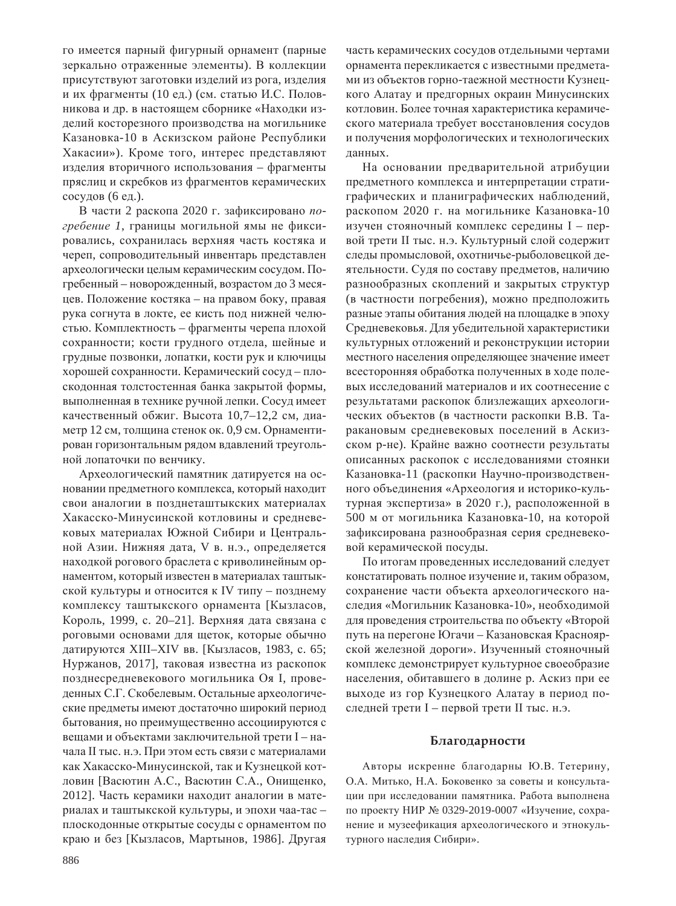го имеется парный фигурный орнамент (парные зеркально отраженные элементы). В коллекции присутствуют заготовки изделий из рога, изделия и их фрагменты (10 ед.) (см. статью И.С. Половникова и др. в настоящем сборнике «Находки изделий косторезного производства на могильнике Казановка-10 в Аскизском районе Республики Хакасии»). Кроме того, интерес представляют изделия вторичного использования – фрагменты пряслиц и скребков из фрагментов керамических сосудов (6 ед.).

В части 2 раскопа 2020 г. зафиксировано погребение 1, границы могильной ямы не фиксировались, сохранилась верхняя часть костяка и череп, сопроводительный инвентарь представлен археологически целым керамическим сосудом. Погребенный – новорожденный, возрастом до 3 месяцев. Положение костяка – на правом боку, правая рука согнута в локте, ее кисть под нижней челюстью. Комплектность – фрагменты черепа плохой сохранности; кости грудного отдела, шейные и грудные позвонки, лопатки, кости рук и ключицы хорошей сохранности. Керамический сосуд – плоскодонная толстостенная банка закрытой формы, выполненная в технике ручной лепки. Сосуд имеет качественный обжиг. Высота 10,7–12,2 см, диаметр 12 см, толщина стенок ок. 0,9 см. Орнаментирован горизонтальным рядом вдавлений треугольной лопаточки по венчику.

Археологический памятник датируется на основании предметного комплекса, который находит свои аналогии в позднеташтыкских материалах Хакасско-Минусинской котловины и средневековых материалах Южной Сибири и Центральной Азии. Нижняя дата, V в. н.э., определяется находкой рогового браслета с криволинейным орнаментом, который известен в материалах таштыкской культуры и относится к IV типу – позднему комплексу таштыкского орнамента [Кызласов, Король, 1999, с. 20–21]. Верхняя дата связана с роговыми основами для щеток, которые обычно датируются XIII–XIV вв. [Кызласов, 1983, с. 65; Нуржанов, 2017], таковая известна из раскопок позднесредневекового могильника Оя I, проведенных С.Г. Скобелевым. Остальные археологические предметы имеют достаточно широкий период бытования, но преимущественно ассоциируются с вещами и объектами заключительной трети I – начала II тыс. н.э. При этом есть связи с материалами как Хакасско-Минусинской, так и Кузнецкой котловин [Васютин А.С., Васютин С.А., Онищенко, 2012]. Часть керамики находит аналогии в материалах и таштыкской культуры, и эпохи чаа-тас – плоскодонные открытые сосуды с орнаментом по краю и без [Кызласов, Мартынов, 1986]. Другая

часть керамических сосудов отдельными чертами орнамента перекликается с известными предметами из объектов горно-таежной местности Кузнецкого Алатау и предгорных окраин Минусинских котловин. Более точная характеристика керамического материала требует восстановления сосудов и получения морфологических и технологических данных.

На основании предварительной атрибуции предметного комплекса и интерпретации стратиграфических и планиграфических наблюдений, раскопом 2020 г. на могильнике Казановка-10 изучен стояночный комплекс середины I - первой трети II тыс. н.э. Культурный слой содержит следы промысловой, охотничье-рыболовецкой деятельности. Судя по составу предметов, наличию разнообразных скоплений и закрытых структур (в частности погребения), можно предположить разные этапы обитания людей на площадке в эпоху Средневековья. Для убедительной характеристики культурных отложений и реконструкции истории местного населения определяющее значение имеет всесторонняя обработка полученных в ходе полевых исследований материалов и их соотнесение с результатами раскопок близлежащих археологических объектов (в частности раскопки В.В. Таракановым средневековых поселений в Аскизском р-не). Крайне важно соотнести результаты описанных раскопок с исследованиями стоянки Казановка-11 (раскопки Научно-производственного объединения «Археология и историко-культурная экспертиза» в 2020 г.), расположенной в 500 м от могильника Казановка-10, на которой зафиксирована разнообразная серия средневековой керамической посуды.

По итогам проведенных исследований следует констатировать полное изучение и, таким образом, сохранение части объекта археологического наследия «Могильник Казановка-10», необходимой для проведения строительства по объекту «Второй путь на перегоне Югачи – Казановская Красноярской железной дороги». Изученный стояночный комплекс демонстрирует культурное своеобразие населения, обитавшего в долине р. Аскиз при ее выходе из гор Кузнецкого Алатау в период последней трети I – первой трети II тыс. н.э.

### **Благодарности**

Авторы искренне благодарны Ю.В. Тетерину, О.А. Митько, Н.А. Боковенко за советы и консультации при исследовании памятника. Работа выполнена по проекту НИР № 0329-2019-0007 «Изучение, сохранение и музеефикация археологического и этнокультурного наследия Сибири».